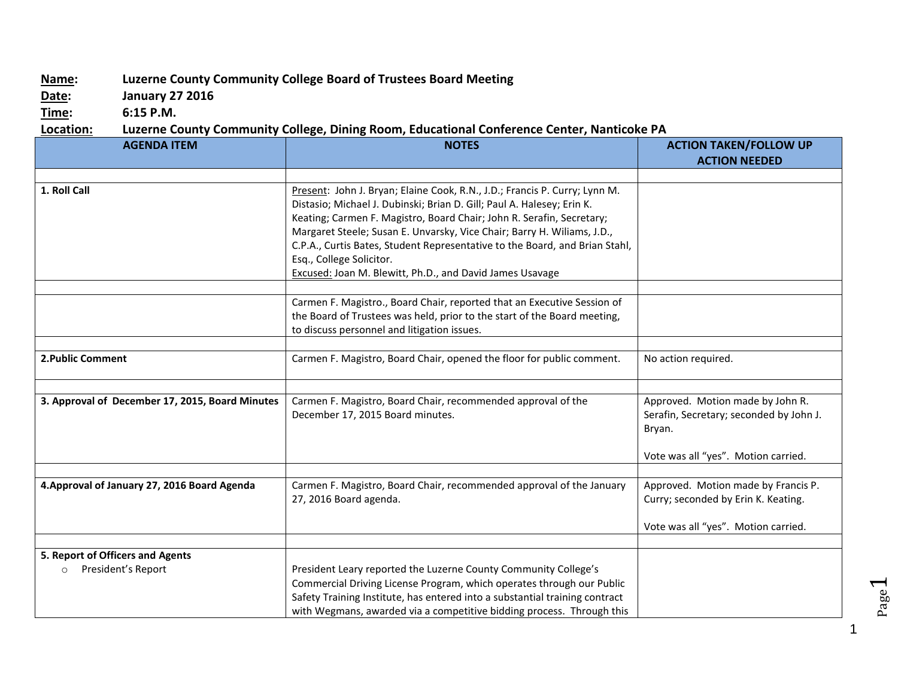## **Name: Luzerne County Community College Board of Trustees Board Meeting**

**Date: January 27 2016**

**Time: 6:15 P.M.**

## **Location: Luzerne County Community College, Dining Room, Educational Conference Center, Nanticoke PA**

| <b>AGENDA ITEM</b>                                                | <b>NOTES</b>                                                                                                                                                                                                                                                                                                                                                                                                                                                                    | <b>ACTION TAKEN/FOLLOW UP</b>                                                                                                |
|-------------------------------------------------------------------|---------------------------------------------------------------------------------------------------------------------------------------------------------------------------------------------------------------------------------------------------------------------------------------------------------------------------------------------------------------------------------------------------------------------------------------------------------------------------------|------------------------------------------------------------------------------------------------------------------------------|
|                                                                   |                                                                                                                                                                                                                                                                                                                                                                                                                                                                                 | <b>ACTION NEEDED</b>                                                                                                         |
| 1. Roll Call                                                      | Present: John J. Bryan; Elaine Cook, R.N., J.D.; Francis P. Curry; Lynn M.<br>Distasio; Michael J. Dubinski; Brian D. Gill; Paul A. Halesey; Erin K.<br>Keating; Carmen F. Magistro, Board Chair; John R. Serafin, Secretary;<br>Margaret Steele; Susan E. Unvarsky, Vice Chair; Barry H. Wiliams, J.D.,<br>C.P.A., Curtis Bates, Student Representative to the Board, and Brian Stahl,<br>Esq., College Solicitor.<br>Excused: Joan M. Blewitt, Ph.D., and David James Usavage |                                                                                                                              |
|                                                                   | Carmen F. Magistro., Board Chair, reported that an Executive Session of<br>the Board of Trustees was held, prior to the start of the Board meeting,<br>to discuss personnel and litigation issues.                                                                                                                                                                                                                                                                              |                                                                                                                              |
| 2. Public Comment                                                 | Carmen F. Magistro, Board Chair, opened the floor for public comment.                                                                                                                                                                                                                                                                                                                                                                                                           | No action required.                                                                                                          |
| 3. Approval of December 17, 2015, Board Minutes                   | Carmen F. Magistro, Board Chair, recommended approval of the<br>December 17, 2015 Board minutes.                                                                                                                                                                                                                                                                                                                                                                                | Approved. Motion made by John R.<br>Serafin, Secretary; seconded by John J.<br>Bryan.<br>Vote was all "yes". Motion carried. |
| 4. Approval of January 27, 2016 Board Agenda                      | Carmen F. Magistro, Board Chair, recommended approval of the January<br>27, 2016 Board agenda.                                                                                                                                                                                                                                                                                                                                                                                  | Approved. Motion made by Francis P.<br>Curry; seconded by Erin K. Keating.<br>Vote was all "yes". Motion carried.            |
| 5. Report of Officers and Agents<br>President's Report<br>$\circ$ | President Leary reported the Luzerne County Community College's<br>Commercial Driving License Program, which operates through our Public<br>Safety Training Institute, has entered into a substantial training contract<br>with Wegmans, awarded via a competitive bidding process. Through this                                                                                                                                                                                |                                                                                                                              |

1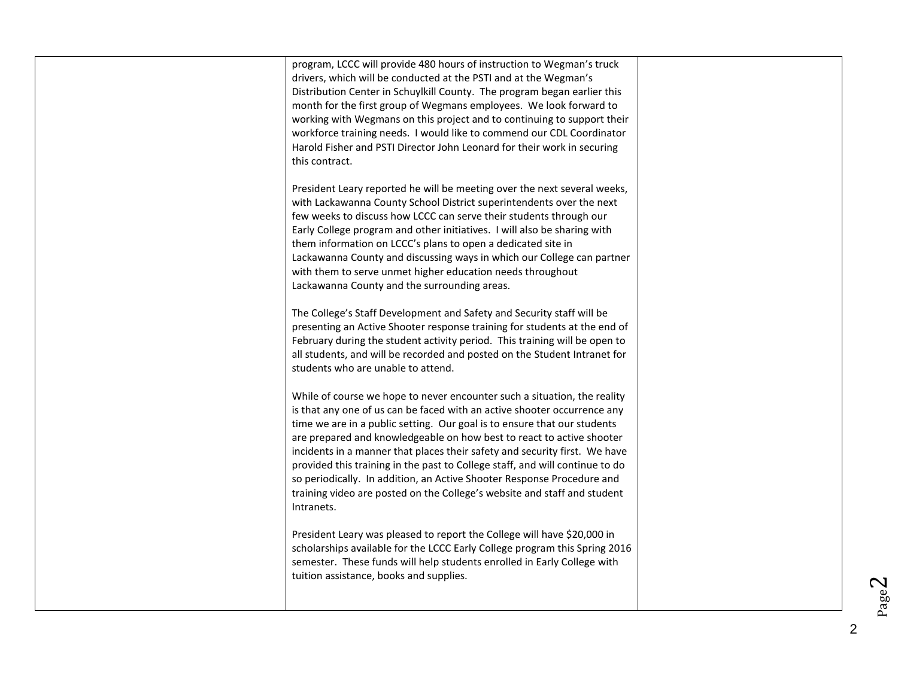| program, LCCC will provide 480 hours of instruction to Wegman's truck<br>drivers, which will be conducted at the PSTI and at the Wegman's<br>Distribution Center in Schuylkill County. The program began earlier this<br>month for the first group of Wegmans employees. We look forward to<br>working with Wegmans on this project and to continuing to support their<br>workforce training needs. I would like to commend our CDL Coordinator<br>Harold Fisher and PSTI Director John Leonard for their work in securing<br>this contract.                                                                                                |  |
|---------------------------------------------------------------------------------------------------------------------------------------------------------------------------------------------------------------------------------------------------------------------------------------------------------------------------------------------------------------------------------------------------------------------------------------------------------------------------------------------------------------------------------------------------------------------------------------------------------------------------------------------|--|
| President Leary reported he will be meeting over the next several weeks,<br>with Lackawanna County School District superintendents over the next<br>few weeks to discuss how LCCC can serve their students through our<br>Early College program and other initiatives. I will also be sharing with<br>them information on LCCC's plans to open a dedicated site in<br>Lackawanna County and discussing ways in which our College can partner<br>with them to serve unmet higher education needs throughout<br>Lackawanna County and the surrounding areas.                                                                                  |  |
| The College's Staff Development and Safety and Security staff will be<br>presenting an Active Shooter response training for students at the end of<br>February during the student activity period. This training will be open to<br>all students, and will be recorded and posted on the Student Intranet for<br>students who are unable to attend.                                                                                                                                                                                                                                                                                         |  |
| While of course we hope to never encounter such a situation, the reality<br>is that any one of us can be faced with an active shooter occurrence any<br>time we are in a public setting. Our goal is to ensure that our students<br>are prepared and knowledgeable on how best to react to active shooter<br>incidents in a manner that places their safety and security first. We have<br>provided this training in the past to College staff, and will continue to do<br>so periodically. In addition, an Active Shooter Response Procedure and<br>training video are posted on the College's website and staff and student<br>Intranets. |  |
| President Leary was pleased to report the College will have \$20,000 in<br>scholarships available for the LCCC Early College program this Spring 2016<br>semester. These funds will help students enrolled in Early College with<br>tuition assistance, books and supplies.                                                                                                                                                                                                                                                                                                                                                                 |  |

2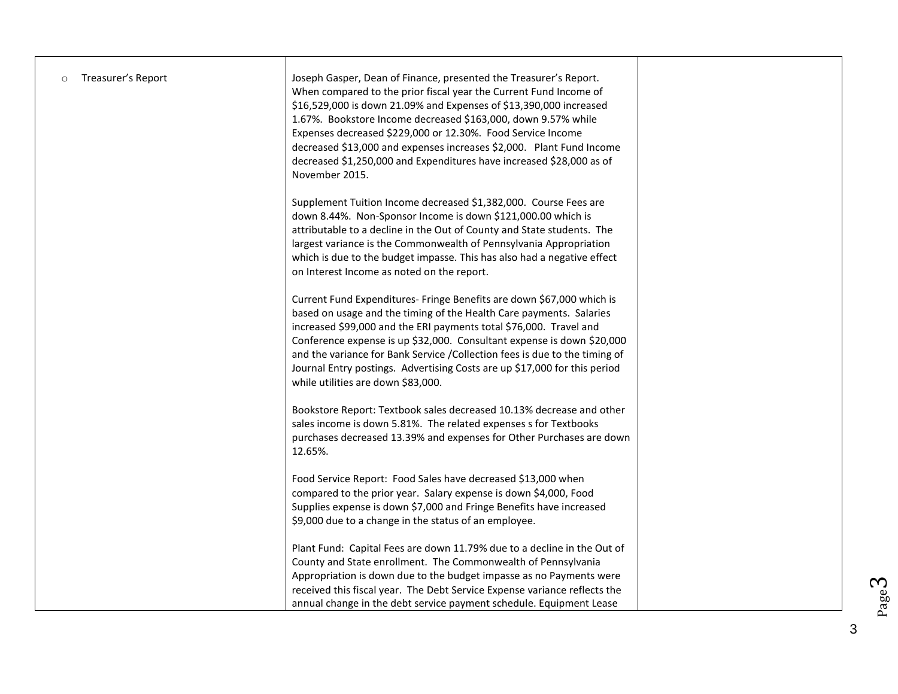| Treasurer's Report<br>$\circ$ | Joseph Gasper, Dean of Finance, presented the Treasurer's Report.<br>When compared to the prior fiscal year the Current Fund Income of<br>\$16,529,000 is down 21.09% and Expenses of \$13,390,000 increased<br>1.67%. Bookstore Income decreased \$163,000, down 9.57% while<br>Expenses decreased \$229,000 or 12.30%. Food Service Income<br>decreased \$13,000 and expenses increases \$2,000. Plant Fund Income<br>decreased \$1,250,000 and Expenditures have increased \$28,000 as of<br>November 2015. |  |
|-------------------------------|----------------------------------------------------------------------------------------------------------------------------------------------------------------------------------------------------------------------------------------------------------------------------------------------------------------------------------------------------------------------------------------------------------------------------------------------------------------------------------------------------------------|--|
|                               | Supplement Tuition Income decreased \$1,382,000. Course Fees are<br>down 8.44%. Non-Sponsor Income is down \$121,000.00 which is<br>attributable to a decline in the Out of County and State students. The<br>largest variance is the Commonwealth of Pennsylvania Appropriation<br>which is due to the budget impasse. This has also had a negative effect<br>on Interest Income as noted on the report.                                                                                                      |  |
|                               | Current Fund Expenditures- Fringe Benefits are down \$67,000 which is<br>based on usage and the timing of the Health Care payments. Salaries<br>increased \$99,000 and the ERI payments total \$76,000. Travel and<br>Conference expense is up \$32,000. Consultant expense is down \$20,000<br>and the variance for Bank Service / Collection fees is due to the timing of<br>Journal Entry postings. Advertising Costs are up \$17,000 for this period<br>while utilities are down \$83,000.                 |  |
|                               | Bookstore Report: Textbook sales decreased 10.13% decrease and other<br>sales income is down 5.81%. The related expenses s for Textbooks<br>purchases decreased 13.39% and expenses for Other Purchases are down<br>12.65%.                                                                                                                                                                                                                                                                                    |  |
|                               | Food Service Report: Food Sales have decreased \$13,000 when<br>compared to the prior year. Salary expense is down \$4,000, Food<br>Supplies expense is down \$7,000 and Fringe Benefits have increased<br>\$9,000 due to a change in the status of an employee.                                                                                                                                                                                                                                               |  |
|                               | Plant Fund: Capital Fees are down 11.79% due to a decline in the Out of<br>County and State enrollment. The Commonwealth of Pennsylvania<br>Appropriation is down due to the budget impasse as no Payments were<br>received this fiscal year. The Debt Service Expense variance reflects the<br>annual change in the debt service payment schedule. Equipment Lease                                                                                                                                            |  |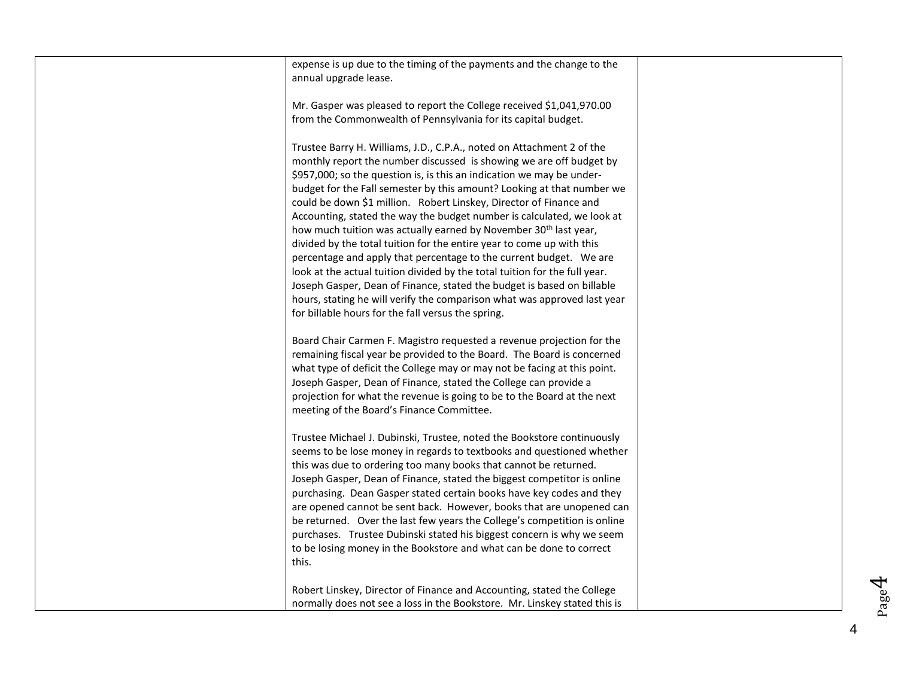| expense is up due to the timing of the payments and the change to the<br>annual upgrade lease.                                                                                                                                                                                                                                                                                                                                                                                                                                                                                                                                                                                                                                                                                                                                                                                                                                                                           |  |
|--------------------------------------------------------------------------------------------------------------------------------------------------------------------------------------------------------------------------------------------------------------------------------------------------------------------------------------------------------------------------------------------------------------------------------------------------------------------------------------------------------------------------------------------------------------------------------------------------------------------------------------------------------------------------------------------------------------------------------------------------------------------------------------------------------------------------------------------------------------------------------------------------------------------------------------------------------------------------|--|
|                                                                                                                                                                                                                                                                                                                                                                                                                                                                                                                                                                                                                                                                                                                                                                                                                                                                                                                                                                          |  |
| Mr. Gasper was pleased to report the College received \$1,041,970.00<br>from the Commonwealth of Pennsylvania for its capital budget.                                                                                                                                                                                                                                                                                                                                                                                                                                                                                                                                                                                                                                                                                                                                                                                                                                    |  |
| Trustee Barry H. Williams, J.D., C.P.A., noted on Attachment 2 of the<br>monthly report the number discussed is showing we are off budget by<br>\$957,000; so the question is, is this an indication we may be under-<br>budget for the Fall semester by this amount? Looking at that number we<br>could be down \$1 million. Robert Linskey, Director of Finance and<br>Accounting, stated the way the budget number is calculated, we look at<br>how much tuition was actually earned by November 30 <sup>th</sup> last year,<br>divided by the total tuition for the entire year to come up with this<br>percentage and apply that percentage to the current budget. We are<br>look at the actual tuition divided by the total tuition for the full year.<br>Joseph Gasper, Dean of Finance, stated the budget is based on billable<br>hours, stating he will verify the comparison what was approved last year<br>for billable hours for the fall versus the spring. |  |
| Board Chair Carmen F. Magistro requested a revenue projection for the<br>remaining fiscal year be provided to the Board. The Board is concerned<br>what type of deficit the College may or may not be facing at this point.<br>Joseph Gasper, Dean of Finance, stated the College can provide a<br>projection for what the revenue is going to be to the Board at the next<br>meeting of the Board's Finance Committee.                                                                                                                                                                                                                                                                                                                                                                                                                                                                                                                                                  |  |
| Trustee Michael J. Dubinski, Trustee, noted the Bookstore continuously<br>seems to be lose money in regards to textbooks and questioned whether<br>this was due to ordering too many books that cannot be returned.<br>Joseph Gasper, Dean of Finance, stated the biggest competitor is online<br>purchasing. Dean Gasper stated certain books have key codes and they<br>are opened cannot be sent back. However, books that are unopened can<br>be returned. Over the last few years the College's competition is online<br>purchases. Trustee Dubinski stated his biggest concern is why we seem<br>to be losing money in the Bookstore and what can be done to correct<br>this.                                                                                                                                                                                                                                                                                      |  |
| Robert Linskey, Director of Finance and Accounting, stated the College<br>normally does not see a loss in the Bookstore. Mr. Linskey stated this is                                                                                                                                                                                                                                                                                                                                                                                                                                                                                                                                                                                                                                                                                                                                                                                                                      |  |

Page4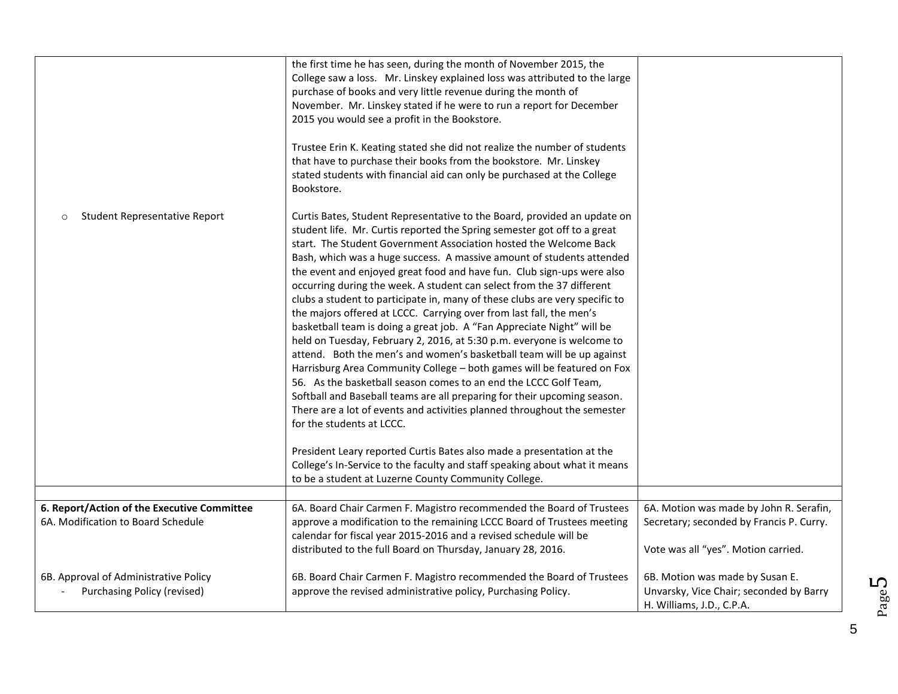| Student Representative Report<br>$\circ$                             | the first time he has seen, during the month of November 2015, the<br>College saw a loss. Mr. Linskey explained loss was attributed to the large<br>purchase of books and very little revenue during the month of<br>November. Mr. Linskey stated if he were to run a report for December<br>2015 you would see a profit in the Bookstore.<br>Trustee Erin K. Keating stated she did not realize the number of students<br>that have to purchase their books from the bookstore. Mr. Linskey<br>stated students with financial aid can only be purchased at the College<br>Bookstore.<br>Curtis Bates, Student Representative to the Board, provided an update on<br>student life. Mr. Curtis reported the Spring semester got off to a great<br>start. The Student Government Association hosted the Welcome Back<br>Bash, which was a huge success. A massive amount of students attended<br>the event and enjoyed great food and have fun. Club sign-ups were also<br>occurring during the week. A student can select from the 37 different<br>clubs a student to participate in, many of these clubs are very specific to<br>the majors offered at LCCC. Carrying over from last fall, the men's<br>basketball team is doing a great job. A "Fan Appreciate Night" will be<br>held on Tuesday, February 2, 2016, at 5:30 p.m. everyone is welcome to<br>attend. Both the men's and women's basketball team will be up against<br>Harrisburg Area Community College - both games will be featured on Fox<br>56. As the basketball season comes to an end the LCCC Golf Team,<br>Softball and Baseball teams are all preparing for their upcoming season.<br>There are a lot of events and activities planned throughout the semester<br>for the students at LCCC.<br>President Leary reported Curtis Bates also made a presentation at the<br>College's In-Service to the faculty and staff speaking about what it means<br>to be a student at Luzerne County Community College. |                                                                                                         |
|----------------------------------------------------------------------|-------------------------------------------------------------------------------------------------------------------------------------------------------------------------------------------------------------------------------------------------------------------------------------------------------------------------------------------------------------------------------------------------------------------------------------------------------------------------------------------------------------------------------------------------------------------------------------------------------------------------------------------------------------------------------------------------------------------------------------------------------------------------------------------------------------------------------------------------------------------------------------------------------------------------------------------------------------------------------------------------------------------------------------------------------------------------------------------------------------------------------------------------------------------------------------------------------------------------------------------------------------------------------------------------------------------------------------------------------------------------------------------------------------------------------------------------------------------------------------------------------------------------------------------------------------------------------------------------------------------------------------------------------------------------------------------------------------------------------------------------------------------------------------------------------------------------------------------------------------------------------------------------------------------------------------------------------------------------------------|---------------------------------------------------------------------------------------------------------|
| 6. Report/Action of the Executive Committee                          | 6A. Board Chair Carmen F. Magistro recommended the Board of Trustees                                                                                                                                                                                                                                                                                                                                                                                                                                                                                                                                                                                                                                                                                                                                                                                                                                                                                                                                                                                                                                                                                                                                                                                                                                                                                                                                                                                                                                                                                                                                                                                                                                                                                                                                                                                                                                                                                                                | 6A. Motion was made by John R. Serafin,                                                                 |
| 6A. Modification to Board Schedule                                   | approve a modification to the remaining LCCC Board of Trustees meeting<br>calendar for fiscal year 2015-2016 and a revised schedule will be<br>distributed to the full Board on Thursday, January 28, 2016.                                                                                                                                                                                                                                                                                                                                                                                                                                                                                                                                                                                                                                                                                                                                                                                                                                                                                                                                                                                                                                                                                                                                                                                                                                                                                                                                                                                                                                                                                                                                                                                                                                                                                                                                                                         | Secretary; seconded by Francis P. Curry.<br>Vote was all "yes". Motion carried.                         |
| 6B. Approval of Administrative Policy<br>Purchasing Policy (revised) | 6B. Board Chair Carmen F. Magistro recommended the Board of Trustees<br>approve the revised administrative policy, Purchasing Policy.                                                                                                                                                                                                                                                                                                                                                                                                                                                                                                                                                                                                                                                                                                                                                                                                                                                                                                                                                                                                                                                                                                                                                                                                                                                                                                                                                                                                                                                                                                                                                                                                                                                                                                                                                                                                                                               | 6B. Motion was made by Susan E.<br>Unvarsky, Vice Chair; seconded by Barry<br>H. Williams, J.D., C.P.A. |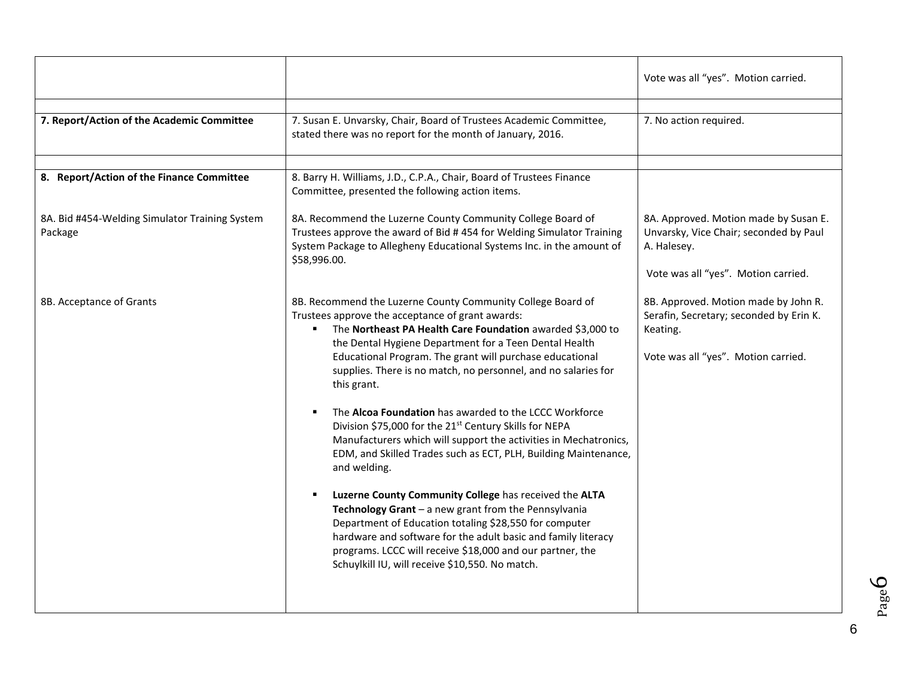|                                                           |                                                                                                                                                                                                                                                                                                                                                                                                                                                                                                                                                                                                                                                                                                                                                                                                                                                                                                                                                                                                                                          | Vote was all "yes". Motion carried.                                                                                                   |
|-----------------------------------------------------------|------------------------------------------------------------------------------------------------------------------------------------------------------------------------------------------------------------------------------------------------------------------------------------------------------------------------------------------------------------------------------------------------------------------------------------------------------------------------------------------------------------------------------------------------------------------------------------------------------------------------------------------------------------------------------------------------------------------------------------------------------------------------------------------------------------------------------------------------------------------------------------------------------------------------------------------------------------------------------------------------------------------------------------------|---------------------------------------------------------------------------------------------------------------------------------------|
| 7. Report/Action of the Academic Committee                | 7. Susan E. Unvarsky, Chair, Board of Trustees Academic Committee,<br>stated there was no report for the month of January, 2016.                                                                                                                                                                                                                                                                                                                                                                                                                                                                                                                                                                                                                                                                                                                                                                                                                                                                                                         | 7. No action required.                                                                                                                |
| 8. Report/Action of the Finance Committee                 | 8. Barry H. Williams, J.D., C.P.A., Chair, Board of Trustees Finance<br>Committee, presented the following action items.                                                                                                                                                                                                                                                                                                                                                                                                                                                                                                                                                                                                                                                                                                                                                                                                                                                                                                                 |                                                                                                                                       |
| 8A. Bid #454-Welding Simulator Training System<br>Package | 8A. Recommend the Luzerne County Community College Board of<br>Trustees approve the award of Bid #454 for Welding Simulator Training<br>System Package to Allegheny Educational Systems Inc. in the amount of<br>\$58,996.00.                                                                                                                                                                                                                                                                                                                                                                                                                                                                                                                                                                                                                                                                                                                                                                                                            | 8A. Approved. Motion made by Susan E.<br>Unvarsky, Vice Chair; seconded by Paul<br>A. Halesey.<br>Vote was all "yes". Motion carried. |
| 8B. Acceptance of Grants                                  | 8B. Recommend the Luzerne County Community College Board of<br>Trustees approve the acceptance of grant awards:<br>The Northeast PA Health Care Foundation awarded \$3,000 to<br>the Dental Hygiene Department for a Teen Dental Health<br>Educational Program. The grant will purchase educational<br>supplies. There is no match, no personnel, and no salaries for<br>this grant.<br>The Alcoa Foundation has awarded to the LCCC Workforce<br>Division \$75,000 for the 21 <sup>st</sup> Century Skills for NEPA<br>Manufacturers which will support the activities in Mechatronics,<br>EDM, and Skilled Trades such as ECT, PLH, Building Maintenance,<br>and welding.<br>Luzerne County Community College has received the ALTA<br>Technology Grant - a new grant from the Pennsylvania<br>Department of Education totaling \$28,550 for computer<br>hardware and software for the adult basic and family literacy<br>programs. LCCC will receive \$18,000 and our partner, the<br>Schuylkill IU, will receive \$10,550. No match. | 8B. Approved. Motion made by John R.<br>Serafin, Secretary; seconded by Erin K.<br>Keating.<br>Vote was all "yes". Motion carried.    |